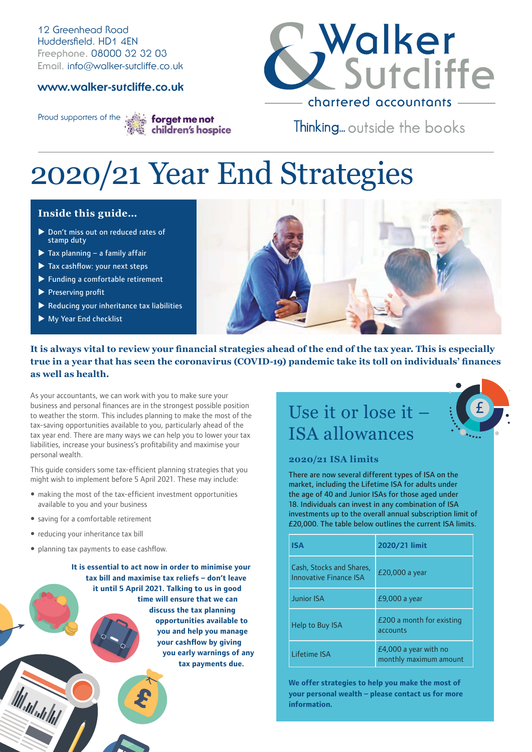12 Greenhead Road Huddersfield. HD1 4EN **Freephone.** 08000 32 32 03 **Email.** info@walker-sutcliffe.co.uk

#### **www.walker-sutcliffe.co.uk**



Thinking... outside the books

Proud supporters of the street menot children's hospice

# 2020/21 Year End Strategies

#### **Inside this guide…**

- Don't miss out on reduced rates of stamp duty
- $\blacktriangleright$  Tax planning a family affair
- $\blacktriangleright$  Tax cashflow: your next steps
- $\blacktriangleright$  Funding a comfortable retirement
- $\blacktriangleright$  Preserving profit
- $\blacktriangleright$  Reducing your inheritance tax liabilities
- $\blacktriangleright$  My Year End checklist



#### **It is always vital to review your financial strategies ahead of the end of the tax year. This is especially true in a year that has seen the coronavirus (COVID-19) pandemic take its toll on individuals' finances as well as health.**

As your accountants, we can work with you to make sure your business and personal finances are in the strongest possible position to weather the storm. This includes planning to make the most of the tax-saving opportunities available to you, particularly ahead of the tax year end. There are many ways we can help you to lower your tax liabilities, increase your business's profitability and maximise your personal wealth.

This guide considers some tax-efficient planning strategies that you might wish to implement before 5 April 2021. These may include:

- making the most of the tax-efficient investment opportunities available to you and your business
- saving for a comfortable retirement
- reducing your inheritance tax bill

planning tax payments to ease cashflow.

**It is essential to act now in order to minimise your tax bill and maximise tax reliefs – don't leave it until 5 April 2021. Talking to us in good time will ensure that we can discuss the tax planning opportunities available to you and help you manage your cashflow by giving you early warnings of any tax payments due.** 

### Use it or lose it – ISA allowances



There are now several different types of ISA on the market, including the Lifetime ISA for adults under the age of 40 and Junior ISAs for those aged under 18. Individuals can invest in any combination of ISA investments up to the overall annual subscription limit of £20,000. The table below outlines the current ISA limits.

| <b>ISA</b>                                                | 2020/21 limit                                     |
|-----------------------------------------------------------|---------------------------------------------------|
| Cash, Stocks and Shares,<br><b>Innovative Finance ISA</b> | £20,000 a year                                    |
| <b>Junior ISA</b>                                         | $E9,000$ a year                                   |
| Help to Buy ISA                                           | £200 a month for existing<br>accounts             |
| I ifetime ISA                                             | $E4,000$ a year with no<br>monthly maximum amount |

**We offer strategies to help you make the most of your personal wealth – please contact us for more information.**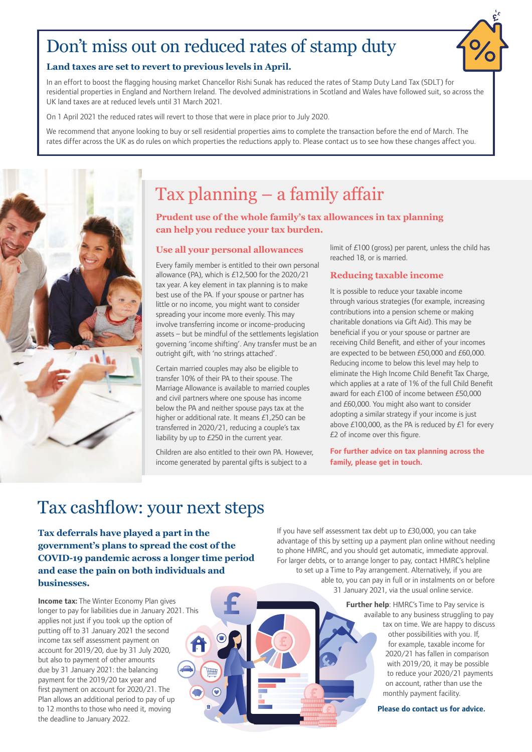# Don't miss out on reduced rates of stamp duty

#### **Land taxes are set to revert to previous levels in April.**

In an effort to boost the flagging housing market Chancellor Rishi Sunak has reduced the rates of Stamp Duty Land Tax (SDLT) for residential properties in England and Northern Ireland. The devolved administrations in Scotland and Wales have followed suit, so across the UK land taxes are at reduced levels until 31 March 2021.

On 1 April 2021 the reduced rates will revert to those that were in place prior to July 2020.

We recommend that anyone looking to buy or sell residential properties aims to complete the transaction before the end of March. The rates differ across the UK as do rules on which properties the reductions apply to. Please contact us to see how these changes affect you.



# Tax planning – a family affair

**Prudent use of the whole family's tax allowances in tax planning can help you reduce your tax burden.**

#### **Use all your personal allowances**

Every family member is entitled to their own personal allowance (PA), which is £12,500 for the 2020/21 tax year. A key element in tax planning is to make best use of the PA. If your spouse or partner has little or no income, you might want to consider spreading your income more evenly. This may involve transferring income or income-producing assets – but be mindful of the settlements legislation governing 'income shifting'. Any transfer must be an outright gift, with 'no strings attached'.

Certain married couples may also be eligible to transfer 10% of their PA to their spouse. The Marriage Allowance is available to married couples and civil partners where one spouse has income below the PA and neither spouse pays tax at the higher or additional rate. It means £1,250 can be transferred in 2020/21, reducing a couple's tax liability by up to £250 in the current year.

Children are also entitled to their own PA. However, income generated by parental gifts is subject to a

limit of £100 (gross) per parent, unless the child has reached 18, or is married.

#### **Reducing taxable income**

It is possible to reduce your taxable income through various strategies (for example, increasing contributions into a pension scheme or making charitable donations via Gift Aid). This may be beneficial if you or your spouse or partner are receiving Child Benefit, and either of your incomes are expected to be between £50,000 and £60,000. Reducing income to below this level may help to eliminate the High Income Child Benefit Tax Charge, which applies at a rate of 1% of the full Child Benefit award for each £100 of income between £50,000 and £60,000. You might also want to consider adopting a similar strategy if your income is just above £100,000, as the PA is reduced by £1 for every £2 of income over this figure.

**For further advice on tax planning across the family, please get in touch.**

### Tax cashflow: your next steps

**Tax deferrals have played a part in the government's plans to spread the cost of the COVID-19 pandemic across a longer time period and ease the pain on both individuals and businesses.** 

**Income tax:** The Winter Economy Plan gives longer to pay for liabilities due in January 2021. This applies not just if you took up the option of putting off to 31 January 2021 the second income tax self assessment payment on account for 2019/20, due by 31 July 2020, but also to payment of other amounts due by 31 January 2021: the balancing payment for the 2019/20 tax year and first payment on account for 2020/21. The Plan allows an additional period to pay of up to 12 months to those who need it, moving the deadline to January 2022.

If you have self assessment tax debt up to £30,000, you can take advantage of this by setting up a payment plan online without needing to phone HMRC, and you should get automatic, immediate approval. For larger debts, or to arrange longer to pay, contact HMRC's helpline to set up a Time to Pay arrangement. Alternatively, if you are able to, you can pay in full or in instalments on or before 31 January 2021, via the usual online service.

> **Further help**: HMRC's Time to Pay service is available to any business struggling to pay tax on time. We are happy to discuss other possibilities with you. If, for example, taxable income for 2020/21 has fallen in comparison with 2019/20, it may be possible to reduce your 2020/21 payments on account, rather than use the monthly payment facility.

> > **Please do contact us for advice.**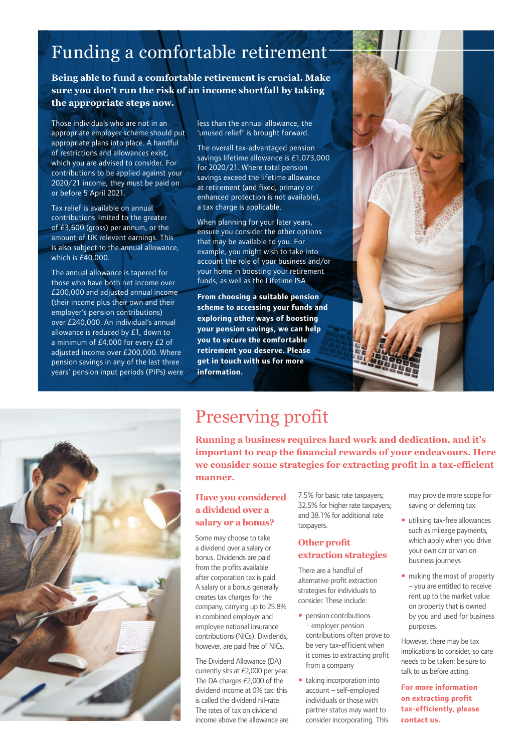# Funding a comfortable retirement

**Being able to fund a comfortable retirement is crucial. Make sure you don't run the risk of an income shortfall by taking the appropriate steps now.** 

Those individuals who are not in an appropriate employer scheme should put appropriate plans into place. A handful of restrictions and allowances exist, which you are advised to consider. For contributions to be applied against your 2020/21 income, they must be paid on or before 5 April 2021.

Tax relief is available on annual contributions limited to the greater of £3,600 (gross) per annum, or the amount of UK relevant earnings. This is also subject to the annual allowance, which is £40,000.

The annual allowance is tapered for those who have both net income over £200,000 and adjusted annual income (their income plus their own and their employer's pension contributions) over £240,000. An individual's annual allowance is reduced by £1, down to a minimum of £4,000 for every £2 of adjusted income over £200,000. Where pension savings in any of the last three years' pension input periods (PIPs) were less than the annual allowance, the 'unused relief' is brought forward.

The overall tax-advantaged pension savings lifetime allowance is £1,073,000 for 2020/21. Where total pension savings exceed the lifetime allowance at retirement (and fixed, primary or enhanced protection is not available), a tax charge is applicable.

When planning for your later years, ensure you consider the other options that may be available to you. For example, you might wish to take into account the role of your business and/or your home in boosting your retirement funds, as well as the Lifetime ISA.

**From choosing a suitable pension scheme to accessing your funds and exploring other ways of boosting your pension savings, we can help you to secure the comfortable retirement you deserve. Please get in touch with us for more information.** 





# Preserving profit

**Running a business requires hard work and dedication, and it's important to reap the financial rewards of your endeavours. Here we consider some strategies for extracting profit in a tax-efficient manner.**

#### **Have you considered a dividend over a salary or a bonus?**

Some may choose to take a dividend over a salary or bonus. Dividends are paid from the profits available after corporation tax is paid. A salary or a bonus generally creates tax charges for the company, carrying up to 25.8% in combined employer and employee national insurance contributions (NICs). Dividends, however, are paid free of NICs.

The Dividend Allowance (DA) currently sits at £2,000 per year. The DA charges £2,000 of the dividend income at 0% tax: this is called the dividend nil-rate. The rates of tax on dividend income above the allowance are

7.5% for basic rate taxpayers; 32.5% for higher rate taxpayers; and 38.1% for additional rate taxpayers.

#### **Other profit extraction strategies**

There are a handful of alternative profit extraction strategies for individuals to consider. These include:

- pension contributions – employer pension contributions often prove to be very tax-efficient when it comes to extracting profit from a company
- taking incorporation into account – self-employed individuals or those with partner status may want to consider incorporating. This

may provide more scope for saving or deferring tax

- utilising tax-free allowances such as mileage payments, which apply when you drive your own car or van on business journeys
- making the most of property – you are entitled to receive rent up to the market value on property that is owned by you and used for business purposes.

However, there may be tax implications to consider, so care needs to be taken: be sure to talk to us before acting.

**For more information on extracting profit tax-efficiently, please contact us.**